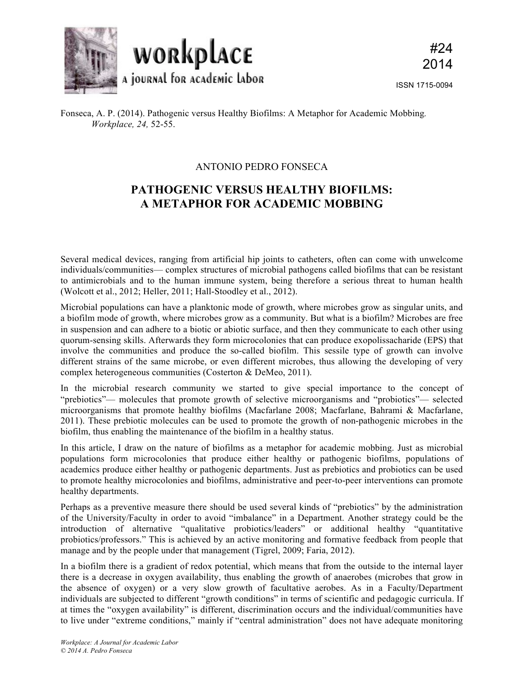

## ANTONIO PEDRO FONSECA

## **PATHOGENIC VERSUS HEALTHY BIOFILMS: A METAPHOR FOR ACADEMIC MOBBING**

Several medical devices, ranging from artificial hip joints to catheters, often can come with unwelcome individuals/communities— complex structures of microbial pathogens called biofilms that can be resistant to antimicrobials and to the human immune system, being therefore a serious threat to human health (Wolcott et al., 2012; Heller, 2011; Hall-Stoodley et al., 2012).

Microbial populations can have a planktonic mode of growth, where microbes grow as singular units, and a biofilm mode of growth, where microbes grow as a community. But what is a biofilm? Microbes are free in suspension and can adhere to a biotic or abiotic surface, and then they communicate to each other using quorum-sensing skills. Afterwards they form microcolonies that can produce exopolissacharide (EPS) that involve the communities and produce the so-called biofilm. This sessile type of growth can involve different strains of the same microbe, or even different microbes, thus allowing the developing of very complex heterogeneous communities (Costerton & DeMeo, 2011).

In the microbial research community we started to give special importance to the concept of "prebiotics"— molecules that promote growth of selective microorganisms and "probiotics"— selected microorganisms that promote healthy biofilms (Macfarlane 2008; Macfarlane, Bahrami & Macfarlane, 2011). These prebiotic molecules can be used to promote the growth of non-pathogenic microbes in the biofilm, thus enabling the maintenance of the biofilm in a healthy status.

In this article, I draw on the nature of biofilms as a metaphor for academic mobbing. Just as microbial populations form microcolonies that produce either healthy or pathogenic biofilms, populations of academics produce either healthy or pathogenic departments. Just as prebiotics and probiotics can be used to promote healthy microcolonies and biofilms, administrative and peer-to-peer interventions can promote healthy departments.

Perhaps as a preventive measure there should be used several kinds of "prebiotics" by the administration of the University/Faculty in order to avoid "imbalance" in a Department. Another strategy could be the introduction of alternative "qualitative probiotics/leaders" or additional healthy "quantitative probiotics/professors." This is achieved by an active monitoring and formative feedback from people that manage and by the people under that management (Tigrel, 2009; Faria, 2012).

In a biofilm there is a gradient of redox potential, which means that from the outside to the internal layer there is a decrease in oxygen availability, thus enabling the growth of anaerobes (microbes that grow in the absence of oxygen) or a very slow growth of facultative aerobes. As in a Faculty/Department individuals are subjected to different "growth conditions" in terms of scientific and pedagogic curricula. If at times the "oxygen availability" is different, discrimination occurs and the individual/communities have to live under "extreme conditions," mainly if "central administration" does not have adequate monitoring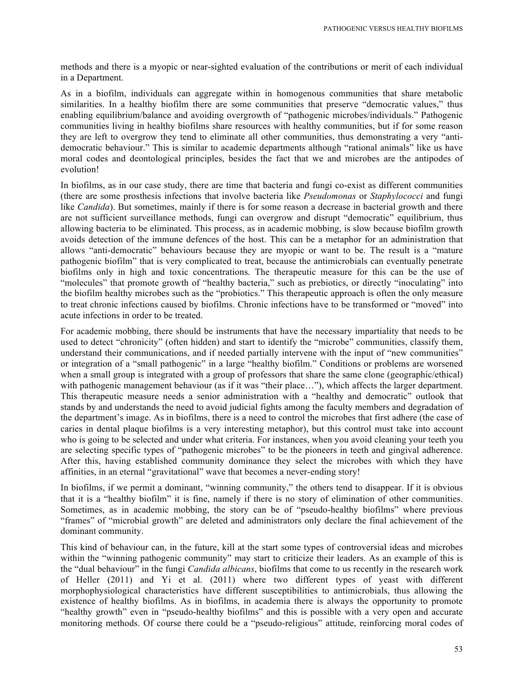methods and there is a myopic or near-sighted evaluation of the contributions or merit of each individual in a Department.

As in a biofilm, individuals can aggregate within in homogenous communities that share metabolic similarities. In a healthy biofilm there are some communities that preserve "democratic values," thus enabling equilibrium/balance and avoiding overgrowth of "pathogenic microbes/individuals." Pathogenic communities living in healthy biofilms share resources with healthy communities, but if for some reason they are left to overgrow they tend to eliminate all other communities, thus demonstrating a very "antidemocratic behaviour." This is similar to academic departments although "rational animals" like us have moral codes and deontological principles, besides the fact that we and microbes are the antipodes of evolution!

In biofilms, as in our case study, there are time that bacteria and fungi co-exist as different communities (there are some prosthesis infections that involve bacteria like *Pseudomonas* or *Staphylococci* and fungi like *Candida*). But sometimes, mainly if there is for some reason a decrease in bacterial growth and there are not sufficient surveillance methods, fungi can overgrow and disrupt "democratic" equilibrium, thus allowing bacteria to be eliminated. This process, as in academic mobbing, is slow because biofilm growth avoids detection of the immune defences of the host. This can be a metaphor for an administration that allows "anti-democratic" behaviours because they are myopic or want to be. The result is a "mature pathogenic biofilm" that is very complicated to treat, because the antimicrobials can eventually penetrate biofilms only in high and toxic concentrations. The therapeutic measure for this can be the use of "molecules" that promote growth of "healthy bacteria," such as prebiotics, or directly "inoculating" into the biofilm healthy microbes such as the "probiotics." This therapeutic approach is often the only measure to treat chronic infections caused by biofilms. Chronic infections have to be transformed or "moved" into acute infections in order to be treated.

For academic mobbing, there should be instruments that have the necessary impartiality that needs to be used to detect "chronicity" (often hidden) and start to identify the "microbe" communities, classify them, understand their communications, and if needed partially intervene with the input of "new communities" or integration of a "small pathogenic" in a large "healthy biofilm." Conditions or problems are worsened when a small group is integrated with a group of professors that share the same clone (geographic/ethical) with pathogenic management behaviour (as if it was "their place..."), which affects the larger department. This therapeutic measure needs a senior administration with a "healthy and democratic" outlook that stands by and understands the need to avoid judicial fights among the faculty members and degradation of the department's image. As in biofilms, there is a need to control the microbes that first adhere (the case of caries in dental plaque biofilms is a very interesting metaphor), but this control must take into account who is going to be selected and under what criteria. For instances, when you avoid cleaning your teeth you are selecting specific types of "pathogenic microbes" to be the pioneers in teeth and gingival adherence. After this, having established community dominance they select the microbes with which they have affinities, in an eternal "gravitational" wave that becomes a never-ending story!

In biofilms, if we permit a dominant, "winning community," the others tend to disappear. If it is obvious that it is a "healthy biofilm" it is fine, namely if there is no story of elimination of other communities. Sometimes, as in academic mobbing, the story can be of "pseudo-healthy biofilms" where previous "frames" of "microbial growth" are deleted and administrators only declare the final achievement of the dominant community.

This kind of behaviour can, in the future, kill at the start some types of controversial ideas and microbes within the "winning pathogenic community" may start to criticize their leaders. As an example of this is the "dual behaviour" in the fungi *Candida albicans*, biofilms that come to us recently in the research work of Heller (2011) and Yi et al. (2011) where two different types of yeast with different morphophysiological characteristics have different susceptibilities to antimicrobials, thus allowing the existence of healthy biofilms. As in biofilms, in academia there is always the opportunity to promote "healthy growth" even in "pseudo-healthy biofilms" and this is possible with a very open and accurate monitoring methods. Of course there could be a "pseudo-religious" attitude, reinforcing moral codes of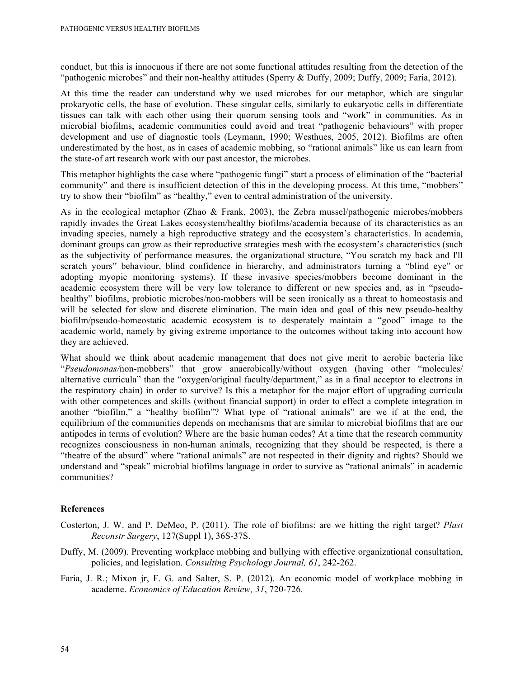conduct, but this is innocuous if there are not some functional attitudes resulting from the detection of the "pathogenic microbes" and their non-healthy attitudes (Sperry & Duffy, 2009; Duffy, 2009; Faria, 2012).

At this time the reader can understand why we used microbes for our metaphor, which are singular prokaryotic cells, the base of evolution. These singular cells, similarly to eukaryotic cells in differentiate tissues can talk with each other using their quorum sensing tools and "work" in communities. As in microbial biofilms, academic communities could avoid and treat "pathogenic behaviours" with proper development and use of diagnostic tools (Leymann, 1990; Westhues, 2005, 2012). Biofilms are often underestimated by the host, as in cases of academic mobbing, so "rational animals" like us can learn from the state-of art research work with our past ancestor, the microbes.

This metaphor highlights the case where "pathogenic fungi" start a process of elimination of the "bacterial community" and there is insufficient detection of this in the developing process. At this time, "mobbers" try to show their "biofilm" as "healthy," even to central administration of the university.

As in the ecological metaphor (Zhao & Frank, 2003), the Zebra mussel/pathogenic microbes/mobbers rapidly invades the Great Lakes ecosystem/healthy biofilms/academia because of its characteristics as an invading species, namely a high reproductive strategy and the ecosystem's characteristics. In academia, dominant groups can grow as their reproductive strategies mesh with the ecosystem's characteristics (such as the subjectivity of performance measures, the organizational structure, "You scratch my back and I'll scratch yours" behaviour, blind confidence in hierarchy, and administrators turning a "blind eye" or adopting myopic monitoring systems). If these invasive species/mobbers become dominant in the academic ecosystem there will be very low tolerance to different or new species and, as in "pseudohealthy" biofilms, probiotic microbes/non-mobbers will be seen ironically as a threat to homeostasis and will be selected for slow and discrete elimination. The main idea and goal of this new pseudo-healthy biofilm/pseudo-homeostatic academic ecosystem is to desperately maintain a "good" image to the academic world, namely by giving extreme importance to the outcomes without taking into account how they are achieved.

What should we think about academic management that does not give merit to aerobic bacteria like "*Pseudomonas/*non-mobbers" that grow anaerobically/without oxygen (having other "molecules/ alternative curricula" than the "oxygen/original faculty/department," as in a final acceptor to electrons in the respiratory chain) in order to survive? Is this a metaphor for the major effort of upgrading curricula with other competences and skills (without financial support) in order to effect a complete integration in another "biofilm," a "healthy biofilm"? What type of "rational animals" are we if at the end, the equilibrium of the communities depends on mechanisms that are similar to microbial biofilms that are our antipodes in terms of evolution? Where are the basic human codes? At a time that the research community recognizes consciousness in non-human animals, recognizing that they should be respected, is there a "theatre of the absurd" where "rational animals" are not respected in their dignity and rights? Should we understand and "speak" microbial biofilms language in order to survive as "rational animals" in academic communities?

## **References**

- Costerton, J. W. and P. DeMeo, P. (2011). The role of biofilms: are we hitting the right target? *Plast Reconstr Surgery*, 127(Suppl 1), 36S-37S.
- Duffy, M. (2009). Preventing workplace mobbing and bullying with effective organizational consultation, policies, and legislation. *Consulting Psychology Journal, 61*, 242-262.
- Faria, J. R.; Mixon jr, F. G. and Salter, S. P. (2012). An economic model of workplace mobbing in academe. *Economics of Education Review, 31*, 720-726.